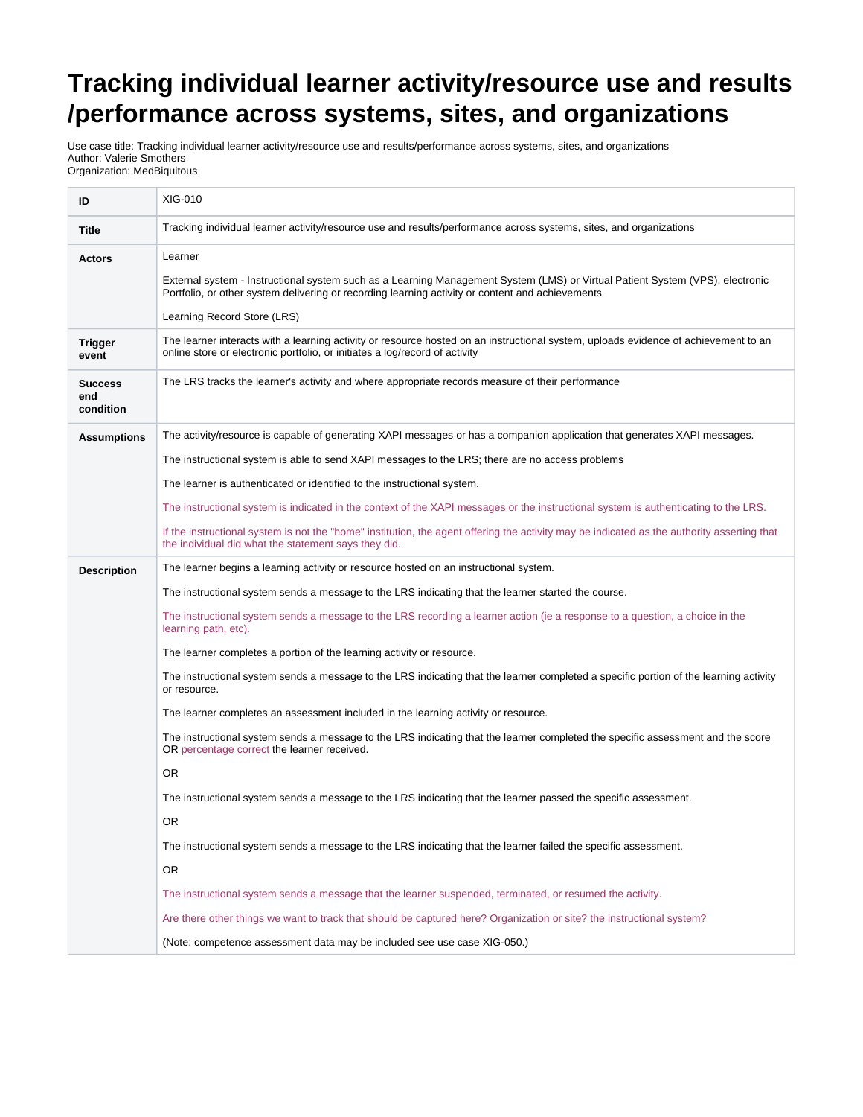## **Tracking individual learner activity/resource use and results /performance across systems, sites, and organizations**

Use case title: Tracking individual learner activity/resource use and results/performance across systems, sites, and organizations Author: Valerie Smothers Organization: MedBiquitous

| ID                                 | XIG-010                                                                                                                                                                                                                           |
|------------------------------------|-----------------------------------------------------------------------------------------------------------------------------------------------------------------------------------------------------------------------------------|
| <b>Title</b>                       | Tracking individual learner activity/resource use and results/performance across systems, sites, and organizations                                                                                                                |
| <b>Actors</b>                      | Learner                                                                                                                                                                                                                           |
|                                    | External system - Instructional system such as a Learning Management System (LMS) or Virtual Patient System (VPS), electronic<br>Portfolio, or other system delivering or recording learning activity or content and achievements |
|                                    | Learning Record Store (LRS)                                                                                                                                                                                                       |
| <b>Trigger</b><br>event            | The learner interacts with a learning activity or resource hosted on an instructional system, uploads evidence of achievement to an<br>online store or electronic portfolio, or initiates a log/record of activity                |
| <b>Success</b><br>end<br>condition | The LRS tracks the learner's activity and where appropriate records measure of their performance                                                                                                                                  |
| <b>Assumptions</b>                 | The activity/resource is capable of generating XAPI messages or has a companion application that generates XAPI messages.                                                                                                         |
|                                    | The instructional system is able to send XAPI messages to the LRS; there are no access problems                                                                                                                                   |
|                                    | The learner is authenticated or identified to the instructional system.                                                                                                                                                           |
|                                    | The instructional system is indicated in the context of the XAPI messages or the instructional system is authenticating to the LRS.                                                                                               |
|                                    | If the instructional system is not the "home" institution, the agent offering the activity may be indicated as the authority asserting that<br>the individual did what the statement says they did.                               |
| <b>Description</b>                 | The learner begins a learning activity or resource hosted on an instructional system.                                                                                                                                             |
|                                    | The instructional system sends a message to the LRS indicating that the learner started the course.                                                                                                                               |
|                                    | The instructional system sends a message to the LRS recording a learner action (ie a response to a question, a choice in the<br>learning path, etc).                                                                              |
|                                    | The learner completes a portion of the learning activity or resource.                                                                                                                                                             |
|                                    | The instructional system sends a message to the LRS indicating that the learner completed a specific portion of the learning activity<br>or resource.                                                                             |
|                                    | The learner completes an assessment included in the learning activity or resource.                                                                                                                                                |
|                                    | The instructional system sends a message to the LRS indicating that the learner completed the specific assessment and the score<br>OR percentage correct the learner received.                                                    |
|                                    | <b>OR</b>                                                                                                                                                                                                                         |
|                                    | The instructional system sends a message to the LRS indicating that the learner passed the specific assessment.                                                                                                                   |
|                                    | OR                                                                                                                                                                                                                                |
|                                    | The instructional system sends a message to the LRS indicating that the learner failed the specific assessment.                                                                                                                   |
|                                    | OR.                                                                                                                                                                                                                               |
|                                    | The instructional system sends a message that the learner suspended, terminated, or resumed the activity.                                                                                                                         |
|                                    | Are there other things we want to track that should be captured here? Organization or site? the instructional system?                                                                                                             |
|                                    | (Note: competence assessment data may be included see use case XIG-050.)                                                                                                                                                          |
|                                    |                                                                                                                                                                                                                                   |